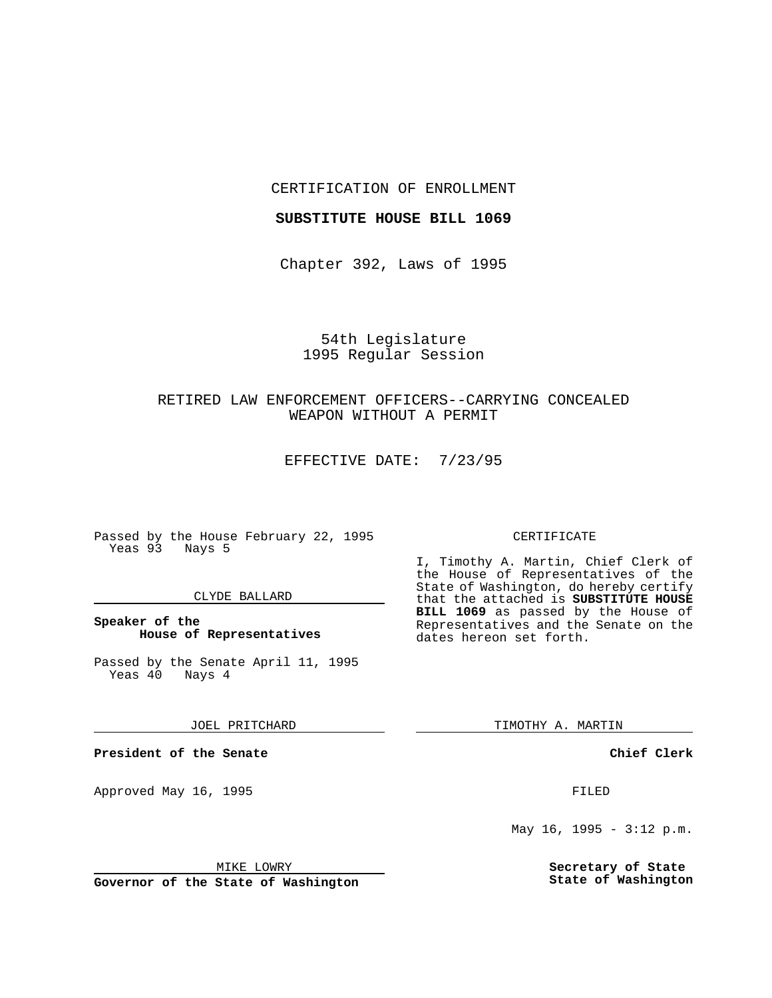CERTIFICATION OF ENROLLMENT

#### **SUBSTITUTE HOUSE BILL 1069**

Chapter 392, Laws of 1995

# 54th Legislature 1995 Regular Session

# RETIRED LAW ENFORCEMENT OFFICERS--CARRYING CONCEALED WEAPON WITHOUT A PERMIT

EFFECTIVE DATE: 7/23/95

Passed by the House February 22, 1995 Yeas 93 Nays 5

### CLYDE BALLARD

## **Speaker of the House of Representatives**

Passed by the Senate April 11, 1995<br>Yeas 40 Nays 4  $Yeas$  40

#### JOEL PRITCHARD

**President of the Senate**

Approved May 16, 1995 **FILED** 

#### MIKE LOWRY

**Governor of the State of Washington**

#### CERTIFICATE

I, Timothy A. Martin, Chief Clerk of the House of Representatives of the State of Washington, do hereby certify that the attached is **SUBSTITUTE HOUSE BILL 1069** as passed by the House of Representatives and the Senate on the dates hereon set forth.

TIMOTHY A. MARTIN

### **Chief Clerk**

May 16, 1995 - 3:12 p.m.

**Secretary of State State of Washington**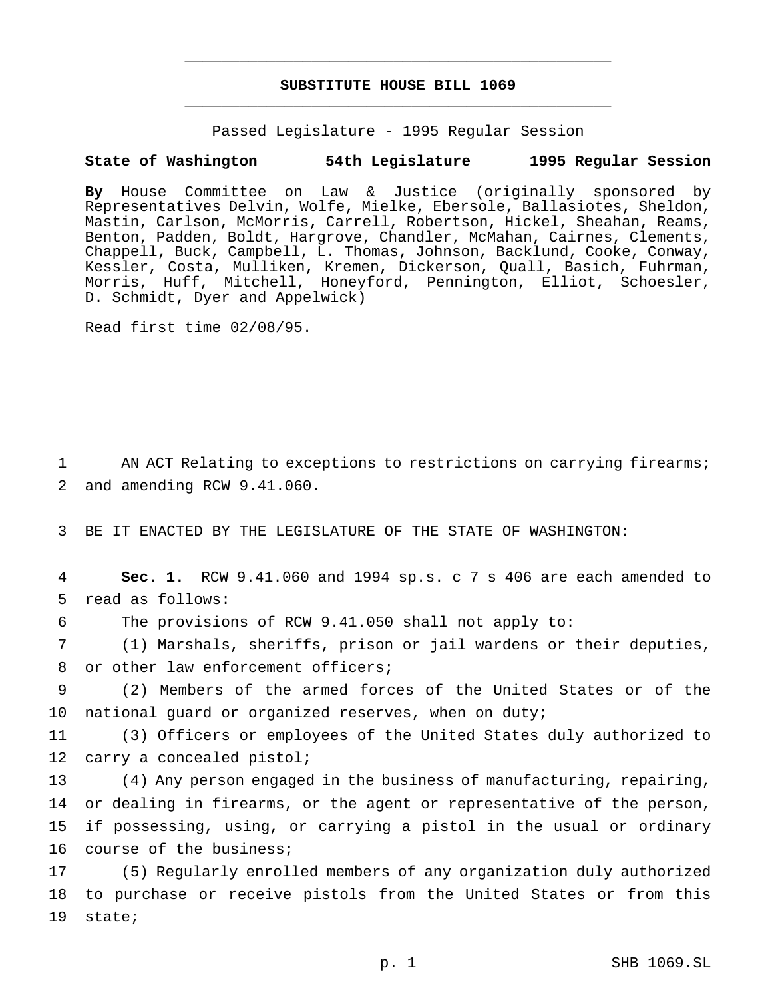# **SUBSTITUTE HOUSE BILL 1069** \_\_\_\_\_\_\_\_\_\_\_\_\_\_\_\_\_\_\_\_\_\_\_\_\_\_\_\_\_\_\_\_\_\_\_\_\_\_\_\_\_\_\_\_\_\_\_

\_\_\_\_\_\_\_\_\_\_\_\_\_\_\_\_\_\_\_\_\_\_\_\_\_\_\_\_\_\_\_\_\_\_\_\_\_\_\_\_\_\_\_\_\_\_\_

Passed Legislature - 1995 Regular Session

### **State of Washington 54th Legislature 1995 Regular Session**

**By** House Committee on Law & Justice (originally sponsored by Representatives Delvin, Wolfe, Mielke, Ebersole, Ballasiotes, Sheldon, Mastin, Carlson, McMorris, Carrell, Robertson, Hickel, Sheahan, Reams, Benton, Padden, Boldt, Hargrove, Chandler, McMahan, Cairnes, Clements, Chappell, Buck, Campbell, L. Thomas, Johnson, Backlund, Cooke, Conway, Kessler, Costa, Mulliken, Kremen, Dickerson, Quall, Basich, Fuhrman, Morris, Huff, Mitchell, Honeyford, Pennington, Elliot, Schoesler, D. Schmidt, Dyer and Appelwick)

Read first time 02/08/95.

1 AN ACT Relating to exceptions to restrictions on carrying firearms; 2 and amending RCW 9.41.060.

3 BE IT ENACTED BY THE LEGISLATURE OF THE STATE OF WASHINGTON:

4 **Sec. 1.** RCW 9.41.060 and 1994 sp.s. c 7 s 406 are each amended to 5 read as follows:

6 The provisions of RCW 9.41.050 shall not apply to:

7 (1) Marshals, sheriffs, prison or jail wardens or their deputies, 8 or other law enforcement officers;

9 (2) Members of the armed forces of the United States or of the 10 national guard or organized reserves, when on duty;

11 (3) Officers or employees of the United States duly authorized to 12 carry a concealed pistol;

 (4) Any person engaged in the business of manufacturing, repairing, or dealing in firearms, or the agent or representative of the person, if possessing, using, or carrying a pistol in the usual or ordinary course of the business;

17 (5) Regularly enrolled members of any organization duly authorized 18 to purchase or receive pistols from the United States or from this 19 state;